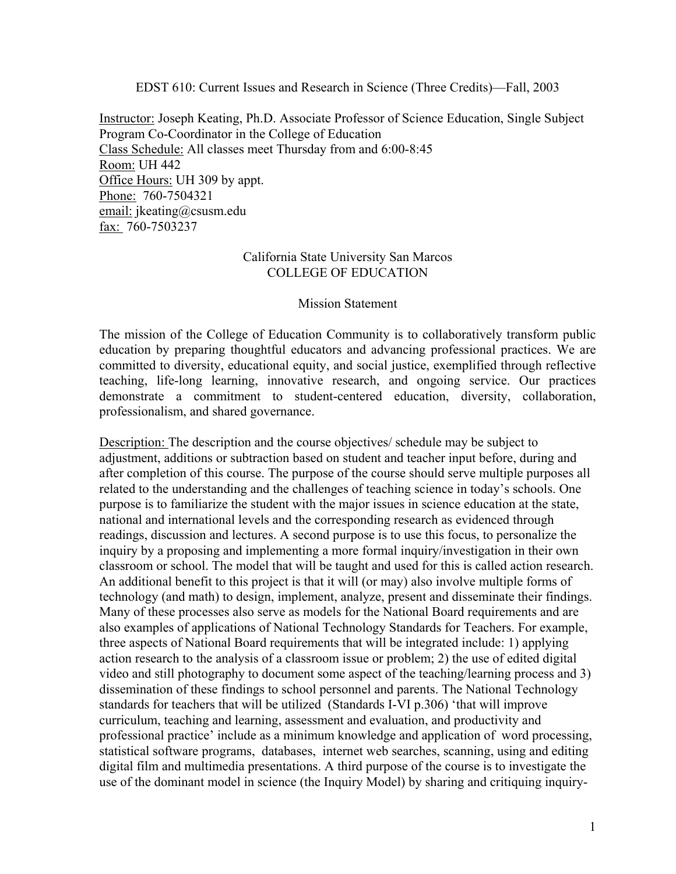EDST 610: Current Issues and Research in Science (Three Credits)—Fall, 2003

Instructor: Joseph Keating, Ph.D. Associate Professor of Science Education, Single Subject Program Co-Coordinator in the College of Education Class Schedule: All classes meet Thursday from and 6:00-8:45 Room: UH 442 Office Hours: UH 309 by appt. Phone: 760-7504321 email: jkeating@csusm.edu fax: 760-7503237

## California State University San Marcos COLLEGE OF EDUCATION

## Mission Statement

The mission of the College of Education Community is to collaboratively transform public education by preparing thoughtful educators and advancing professional practices. We are committed to diversity, educational equity, and social justice, exemplified through reflective teaching, life-long learning, innovative research, and ongoing service. Our practices demonstrate a commitment to student-centered education, diversity, collaboration, professionalism, and shared governance.

Description: The description and the course objectives/ schedule may be subject to adjustment, additions or subtraction based on student and teacher input before, during and after completion of this course. The purpose of the course should serve multiple purposes all related to the understanding and the challenges of teaching science in today's schools. One purpose is to familiarize the student with the major issues in science education at the state, national and international levels and the corresponding research as evidenced through readings, discussion and lectures. A second purpose is to use this focus, to personalize the inquiry by a proposing and implementing a more formal inquiry/investigation in their own classroom or school. The model that will be taught and used for this is called action research. An additional benefit to this project is that it will (or may) also involve multiple forms of technology (and math) to design, implement, analyze, present and disseminate their findings. Many of these processes also serve as models for the National Board requirements and are also examples of applications of National Technology Standards for Teachers. For example, three aspects of National Board requirements that will be integrated include: 1) applying action research to the analysis of a classroom issue or problem; 2) the use of edited digital video and still photography to document some aspect of the teaching/learning process and 3) dissemination of these findings to school personnel and parents. The National Technology standards for teachers that will be utilized (Standards I-VI p.306) 'that will improve curriculum, teaching and learning, assessment and evaluation, and productivity and professional practice' include as a minimum knowledge and application of word processing, statistical software programs, databases, internet web searches, scanning, using and editing digital film and multimedia presentations. A third purpose of the course is to investigate the use of the dominant model in science (the Inquiry Model) by sharing and critiquing inquiry-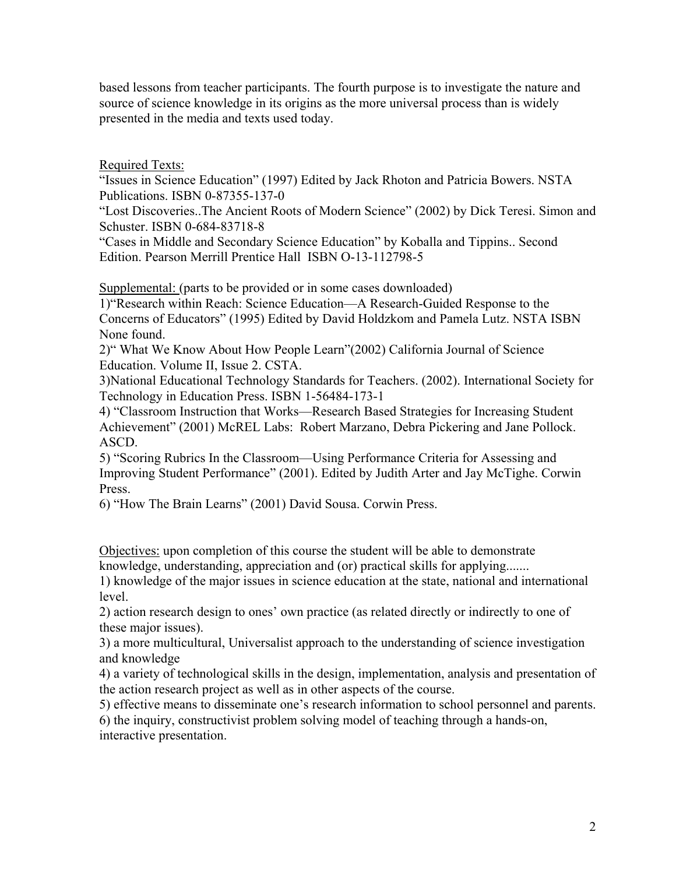based lessons from teacher participants. The fourth purpose is to investigate the nature and source of science knowledge in its origins as the more universal process than is widely presented in the media and texts used today.

Required Texts:

"Issues in Science Education" (1997) Edited by Jack Rhoton and Patricia Bowers. NSTA Publications. ISBN 0-87355-137-0

"Lost Discoveries..The Ancient Roots of Modern Science" (2002) by Dick Teresi. Simon and Schuster. ISBN 0-684-83718-8

"Cases in Middle and Secondary Science Education" by Koballa and Tippins.. Second Edition. Pearson Merrill Prentice Hall ISBN O-13-112798-5

Supplemental: (parts to be provided or in some cases downloaded)

1)"Research within Reach: Science Education—A Research-Guided Response to the Concerns of Educators" (1995) Edited by David Holdzkom and Pamela Lutz. NSTA ISBN None found.

2)" What We Know About How People Learn"(2002) California Journal of Science Education. Volume II, Issue 2. CSTA.

3)National Educational Technology Standards for Teachers. (2002). International Society for Technology in Education Press. ISBN 1-56484-173-1

4) "Classroom Instruction that Works—Research Based Strategies for Increasing Student Achievement" (2001) McREL Labs: Robert Marzano, Debra Pickering and Jane Pollock. ASCD.

5) "Scoring Rubrics In the Classroom—Using Performance Criteria for Assessing and Improving Student Performance" (2001). Edited by Judith Arter and Jay McTighe. Corwin Press.

6) "How The Brain Learns" (2001) David Sousa. Corwin Press.

Objectives: upon completion of this course the student will be able to demonstrate knowledge, understanding, appreciation and (or) practical skills for applying.......

1) knowledge of the major issues in science education at the state, national and international level.

2) action research design to ones' own practice (as related directly or indirectly to one of these major issues).

3) a more multicultural, Universalist approach to the understanding of science investigation and knowledge

4) a variety of technological skills in the design, implementation, analysis and presentation of the action research project as well as in other aspects of the course.

5) effective means to disseminate one's research information to school personnel and parents.

6) the inquiry, constructivist problem solving model of teaching through a hands-on, interactive presentation.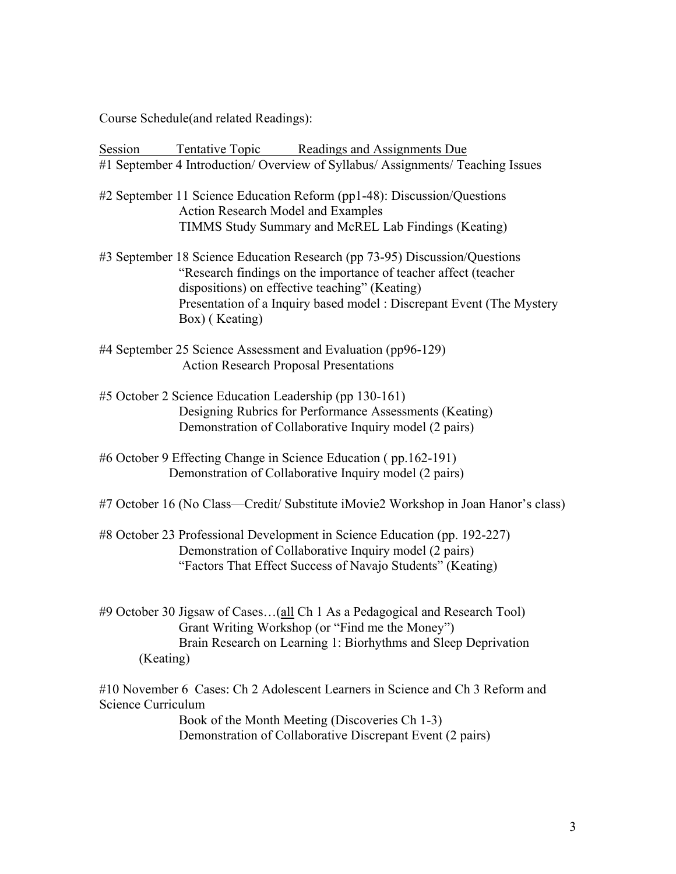Course Schedule(and related Readings):

Session Tentative Topic Readings and Assignments Due #1 September 4 Introduction/ Overview of Syllabus/ Assignments/ Teaching Issues

- #2 September 11 Science Education Reform (pp1-48): Discussion/Questions Action Research Model and Examples TIMMS Study Summary and McREL Lab Findings (Keating)
- #3 September 18 Science Education Research (pp 73-95) Discussion/Questions "Research findings on the importance of teacher affect (teacher dispositions) on effective teaching" (Keating) Presentation of a Inquiry based model : Discrepant Event (The Mystery Box) ( Keating)
- #4 September 25 Science Assessment and Evaluation (pp96-129) Action Research Proposal Presentations
- #5 October 2 Science Education Leadership (pp 130-161) Designing Rubrics for Performance Assessments (Keating) Demonstration of Collaborative Inquiry model (2 pairs)
- #6 October 9 Effecting Change in Science Education ( pp.162-191) Demonstration of Collaborative Inquiry model (2 pairs)
- #7 October 16 (No Class—Credit/ Substitute iMovie2 Workshop in Joan Hanor's class)
- #8 October 23 Professional Development in Science Education (pp. 192-227) Demonstration of Collaborative Inquiry model (2 pairs) "Factors That Effect Success of Navajo Students" (Keating)
- #9 October 30 Jigsaw of Cases... (all Ch 1 As a Pedagogical and Research Tool) Grant Writing Workshop (or "Find me the Money") Brain Research on Learning 1: Biorhythms and Sleep Deprivation (Keating)
- #10 November 6 Cases: Ch 2 Adolescent Learners in Science and Ch 3 Reform and Science Curriculum Book of the Month Meeting (Discoveries Ch 1-3) Demonstration of Collaborative Discrepant Event (2 pairs)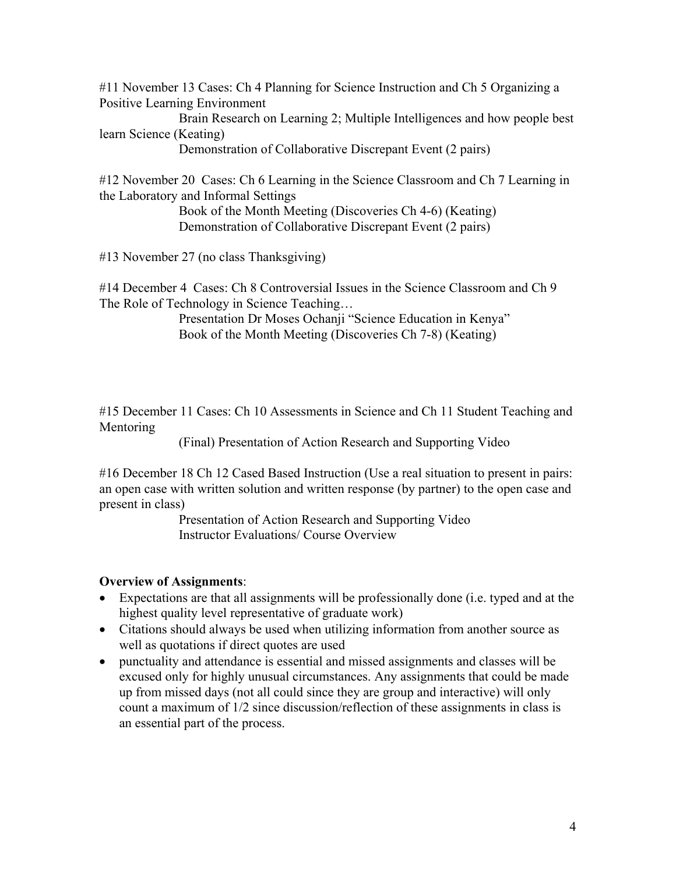#11 November 13 Cases: Ch 4 Planning for Science Instruction and Ch 5 Organizing a Positive Learning Environment

 Brain Research on Learning 2; Multiple Intelligences and how people best learn Science (Keating)

Demonstration of Collaborative Discrepant Event (2 pairs)

#12 November 20 Cases: Ch 6 Learning in the Science Classroom and Ch 7 Learning in the Laboratory and Informal Settings

 Book of the Month Meeting (Discoveries Ch 4-6) (Keating) Demonstration of Collaborative Discrepant Event (2 pairs)

#13 November 27 (no class Thanksgiving)

#14 December 4 Cases: Ch 8 Controversial Issues in the Science Classroom and Ch 9 The Role of Technology in Science Teaching…

> Presentation Dr Moses Ochanji "Science Education in Kenya" Book of the Month Meeting (Discoveries Ch 7-8) (Keating)

#15 December 11 Cases: Ch 10 Assessments in Science and Ch 11 Student Teaching and Mentoring

(Final) Presentation of Action Research and Supporting Video

#16 December 18 Ch 12 Cased Based Instruction (Use a real situation to present in pairs: an open case with written solution and written response (by partner) to the open case and present in class)

Presentation of Action Research and Supporting Video Instructor Evaluations/ Course Overview

## **Overview of Assignments**:

- Expectations are that all assignments will be professionally done (i.e. typed and at the highest quality level representative of graduate work)
- Citations should always be used when utilizing information from another source as well as quotations if direct quotes are used
- punctuality and attendance is essential and missed assignments and classes will be excused only for highly unusual circumstances. Any assignments that could be made up from missed days (not all could since they are group and interactive) will only count a maximum of 1/2 since discussion/reflection of these assignments in class is an essential part of the process.